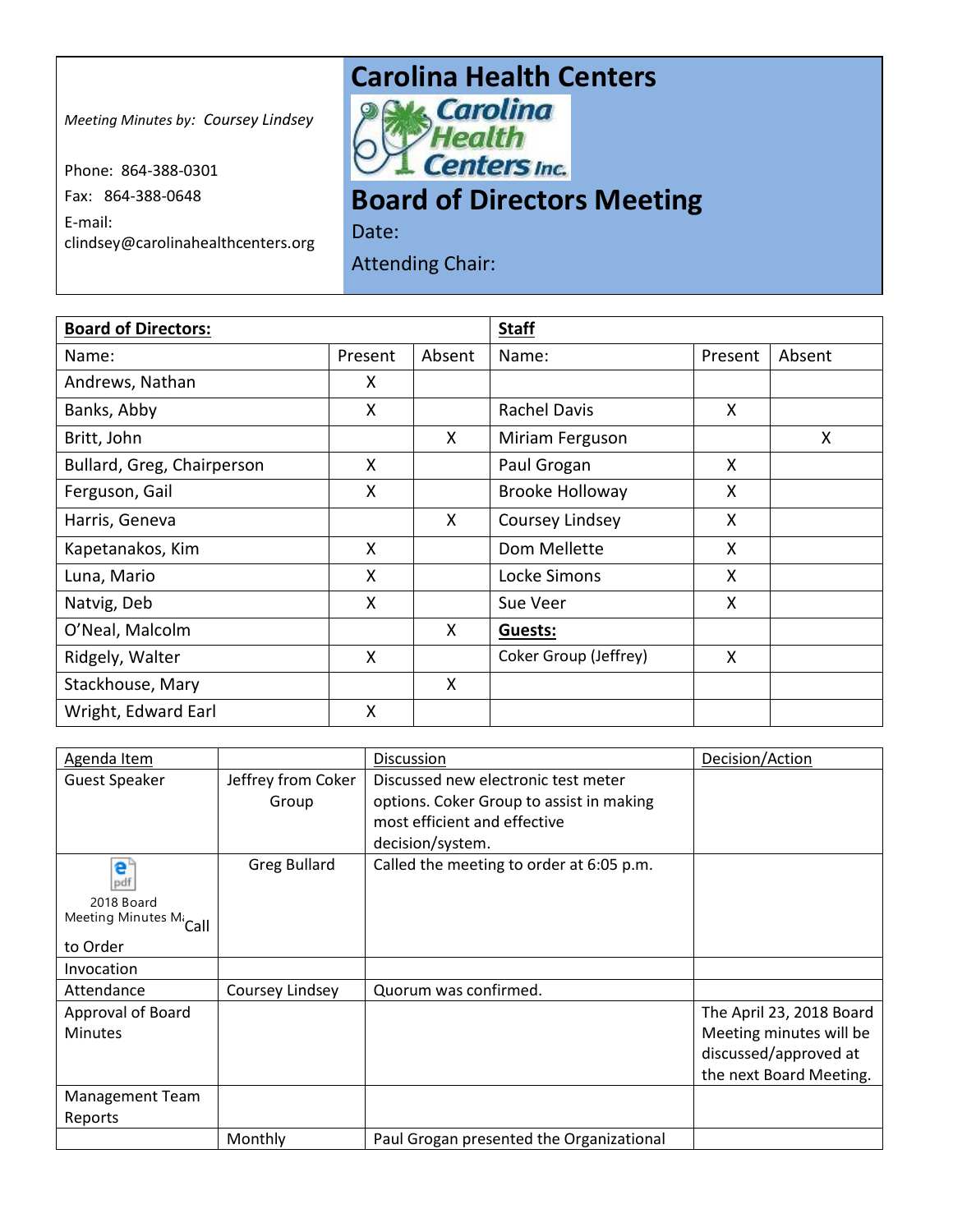## **Carolina Health Centers**<br> **Property Carolina**

*Meeting Minutes by: Coursey Lindsey*

Phone: 864-388-0301 Fax: 864-388-0648 E-mail: clindsey@carolinahealthcenters.org

Hea **Centers Inc.** 

## **Board of Directors Meeting**

Date: Attending Chair:

| <b>Board of Directors:</b> |         |        | <b>Staff</b>           |         |        |
|----------------------------|---------|--------|------------------------|---------|--------|
| Name:                      | Present | Absent | Name:                  | Present | Absent |
| Andrews, Nathan            | X       |        |                        |         |        |
| Banks, Abby                | X       |        | <b>Rachel Davis</b>    | X       |        |
| Britt, John                |         | X      | Miriam Ferguson        |         | X      |
| Bullard, Greg, Chairperson | X       |        | Paul Grogan            | X       |        |
| Ferguson, Gail             | X       |        | <b>Brooke Holloway</b> | X       |        |
| Harris, Geneva             |         | X.     | Coursey Lindsey        | X       |        |
| Kapetanakos, Kim           | X       |        | Dom Mellette           | X       |        |
| Luna, Mario                | Χ       |        | Locke Simons           | X       |        |
| Natvig, Deb                | X       |        | Sue Veer               | X       |        |
| O'Neal, Malcolm            |         | X.     | Guests:                |         |        |
| Ridgely, Walter            | X       |        | Coker Group (Jeffrey)  | X       |        |
| Stackhouse, Mary           |         | X      |                        |         |        |
| Wright, Edward Earl        | X       |        |                        |         |        |

| Agenda Item                        |                     | <b>Discussion</b>                        | Decision/Action          |
|------------------------------------|---------------------|------------------------------------------|--------------------------|
| <b>Guest Speaker</b>               | Jeffrey from Coker  | Discussed new electronic test meter      |                          |
|                                    | Group               | options. Coker Group to assist in making |                          |
|                                    |                     | most efficient and effective             |                          |
|                                    |                     | decision/system.                         |                          |
| e°<br>pdf                          | <b>Greg Bullard</b> | Called the meeting to order at 6:05 p.m. |                          |
| 2018 Board                         |                     |                                          |                          |
| Meeting Minutes Mi <sub>Call</sub> |                     |                                          |                          |
| to Order                           |                     |                                          |                          |
| Invocation                         |                     |                                          |                          |
| Attendance                         | Coursey Lindsey     | Quorum was confirmed.                    |                          |
| Approval of Board                  |                     |                                          | The April 23, 2018 Board |
| <b>Minutes</b>                     |                     |                                          | Meeting minutes will be  |
|                                    |                     |                                          | discussed/approved at    |
|                                    |                     |                                          | the next Board Meeting.  |
| <b>Management Team</b>             |                     |                                          |                          |
| Reports                            |                     |                                          |                          |
|                                    | Monthly             | Paul Grogan presented the Organizational |                          |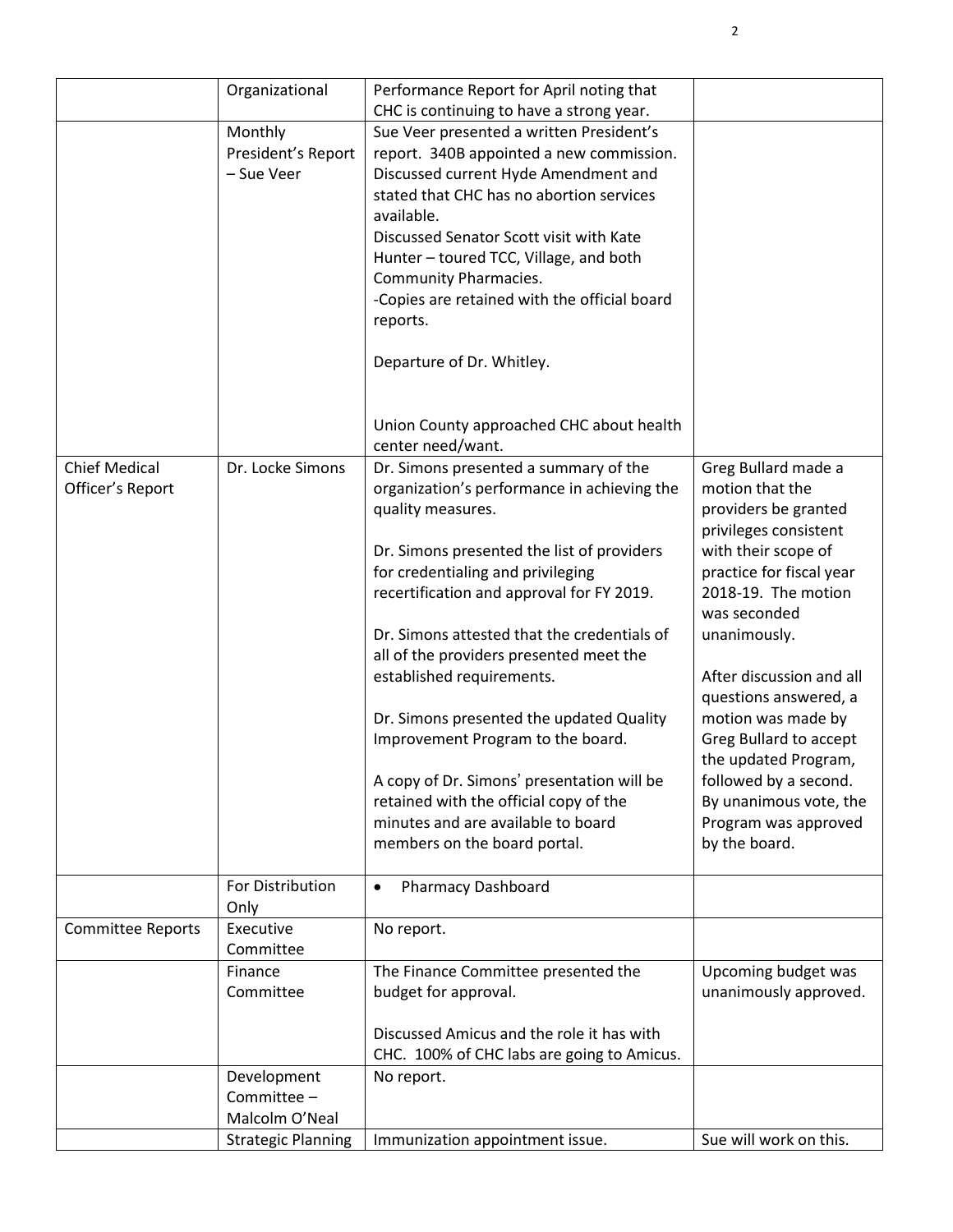|                                          | Organizational                               | Performance Report for April noting that                                                                                                                                                                                                                                                                                                                                                                                                  |                                                                                               |
|------------------------------------------|----------------------------------------------|-------------------------------------------------------------------------------------------------------------------------------------------------------------------------------------------------------------------------------------------------------------------------------------------------------------------------------------------------------------------------------------------------------------------------------------------|-----------------------------------------------------------------------------------------------|
|                                          | Monthly<br>President's Report<br>- Sue Veer  | CHC is continuing to have a strong year.<br>Sue Veer presented a written President's<br>report. 340B appointed a new commission.<br>Discussed current Hyde Amendment and<br>stated that CHC has no abortion services<br>available.<br>Discussed Senator Scott visit with Kate<br>Hunter - toured TCC, Village, and both<br>Community Pharmacies.<br>-Copies are retained with the official board<br>reports.<br>Departure of Dr. Whitley. |                                                                                               |
|                                          |                                              | Union County approached CHC about health<br>center need/want.                                                                                                                                                                                                                                                                                                                                                                             |                                                                                               |
| <b>Chief Medical</b><br>Officer's Report | Dr. Locke Simons                             | Dr. Simons presented a summary of the<br>organization's performance in achieving the<br>quality measures.                                                                                                                                                                                                                                                                                                                                 | Greg Bullard made a<br>motion that the<br>providers be granted<br>privileges consistent       |
|                                          |                                              | Dr. Simons presented the list of providers<br>for credentialing and privileging<br>recertification and approval for FY 2019.                                                                                                                                                                                                                                                                                                              | with their scope of<br>practice for fiscal year<br>2018-19. The motion<br>was seconded        |
|                                          |                                              | Dr. Simons attested that the credentials of<br>all of the providers presented meet the<br>established requirements.                                                                                                                                                                                                                                                                                                                       | unanimously.<br>After discussion and all                                                      |
|                                          |                                              | Dr. Simons presented the updated Quality<br>Improvement Program to the board.                                                                                                                                                                                                                                                                                                                                                             | questions answered, a<br>motion was made by<br>Greg Bullard to accept<br>the updated Program, |
|                                          |                                              | A copy of Dr. Simons' presentation will be<br>retained with the official copy of the<br>minutes and are available to board<br>members on the board portal.                                                                                                                                                                                                                                                                                | followed by a second.<br>By unanimous vote, the<br>Program was approved<br>by the board.      |
|                                          | For Distribution<br>Only                     | <b>Pharmacy Dashboard</b><br>$\bullet$                                                                                                                                                                                                                                                                                                                                                                                                    |                                                                                               |
| <b>Committee Reports</b>                 | Executive<br>Committee                       | No report.                                                                                                                                                                                                                                                                                                                                                                                                                                |                                                                                               |
|                                          | Finance<br>Committee                         | The Finance Committee presented the<br>budget for approval.                                                                                                                                                                                                                                                                                                                                                                               | Upcoming budget was<br>unanimously approved.                                                  |
|                                          |                                              | Discussed Amicus and the role it has with<br>CHC. 100% of CHC labs are going to Amicus.                                                                                                                                                                                                                                                                                                                                                   |                                                                                               |
|                                          | Development<br>Committee -<br>Malcolm O'Neal | No report.                                                                                                                                                                                                                                                                                                                                                                                                                                |                                                                                               |
|                                          | <b>Strategic Planning</b>                    | Immunization appointment issue.                                                                                                                                                                                                                                                                                                                                                                                                           | Sue will work on this.                                                                        |

2